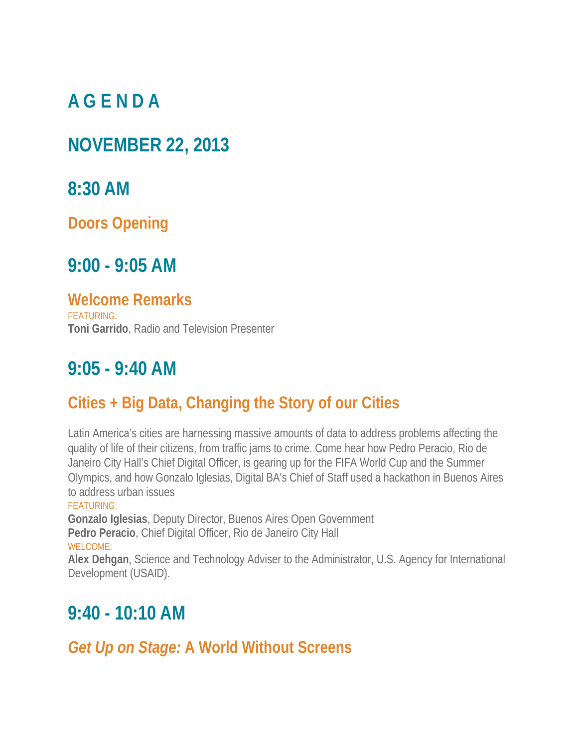# **A G E N D A**

## **NOVEMBER 22, 2013**

## **8:30 AM**

**Doors Opening**

## **9:00 - 9:05 AM**

#### **Welcome Remarks**

FEATURING: **Toni Garrido**, Radio and Television Presenter

# **9:05 - 9:40 AM**

## **Cities + Big Data, Changing the Story of our Cities**

Latin America's cities are harnessing massive amounts of data to address problems affecting the quality of life of their citizens, from traffic jams to crime. Come hear how Pedro Peracio, Rio de Janeiro City Hall's Chief Digital Officer, is gearing up for the FIFA World Cup and the Summer Olympics, and how Gonzalo Iglesias, Digital BA's Chief of Staff used a hackathon in Buenos Aires to address urban issues

#### FEATURING:

**Gonzalo Iglesias**, Deputy Director, Buenos Aires Open Government **Pedro Peracio**, Chief Digital Officer, Rio de Janeiro City Hall WELCOME:

**Alex Dehgan**, Science and Technology Adviser to the Administrator, U.S. Agency for International Development (USAID).

# **9:40 - 10:10 AM**

#### *Get Up on Stage:* **A World Without Screens**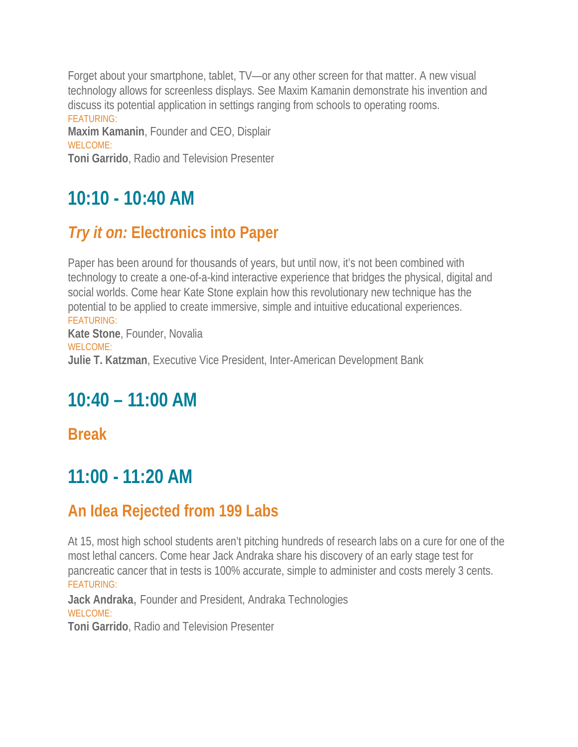Forget about your smartphone, tablet, TV—or any other screen for that matter. A new visual technology allows for screenless displays. See Maxim Kamanin demonstrate his invention and discuss its potential application in settings ranging from schools to operating rooms. FEATURING:

**Maxim Kamanin**, Founder and CEO, Displair WELCOME:

**Toni Garrido**, Radio and Television Presenter

# **10:10 - 10:40 AM**

### *Try it on:* **Electronics into Paper**

Paper has been around for thousands of years, but until now, it's not been combined with technology to create a one-of-a-kind interactive experience that bridges the physical, digital and social worlds. Come hear Kate Stone explain how this revolutionary new technique has the potential to be applied to create immersive, simple and intuitive educational experiences. FEATURING:

**Kate Stone**, Founder, Novalia WELCOME: **Julie T. Katzman**, Executive Vice President, Inter-American Development Bank

# **10:40 – 11:00 AM**

**Break**

# **11:00 - 11:20 AM**

#### **An Idea Rejected from 199 Labs**

At 15, most high school students aren't pitching hundreds of research labs on a cure for one of the most lethal cancers. Come hear Jack Andraka share his discovery of an early stage test for pancreatic cancer that in tests is 100% accurate, simple to administer and costs merely 3 cents. FEATURING:

**Jack Andraka**, Founder and President, Andraka Technologies WELCOME:

**Toni Garrido**, Radio and Television Presenter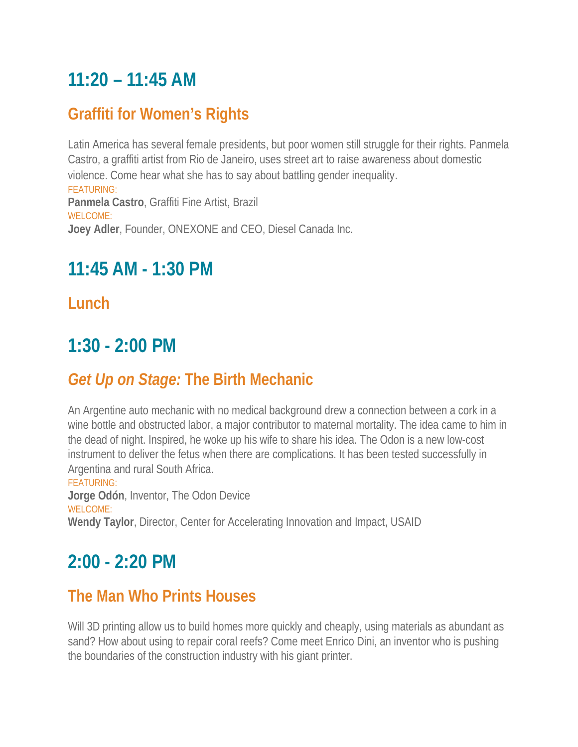# **11:20 – 11:45 AM**

### **Graffiti for Women's Rights**

Latin America has several female presidents, but poor women still struggle for their rights. Panmela Castro, a graffiti artist from Rio de Janeiro, uses street art to raise awareness about domestic violence. Come hear what she has to say about battling gender inequality. FEATURING: **Panmela Castro**, Graffiti Fine Artist, Brazil WELCOME: **Joey Adler**, Founder, ONEXONE and CEO, Diesel Canada Inc.

## **11:45 AM - 1:30 PM**

#### **Lunch**

# **1:30 - 2:00 PM**

## *Get Up on Stage:* **The Birth Mechanic**

An Argentine auto mechanic with no medical background drew a connection between a cork in a wine bottle and obstructed labor, a major contributor to maternal mortality. The idea came to him in the dead of night. Inspired, he woke up his wife to share his idea. The Odon is a new low-cost instrument to deliver the fetus when there are complications. It has been tested successfully in Argentina and rural South Africa.

#### FEATURING:

**Jorge Odón**, Inventor, The Odon Device WELCOME: **Wendy Taylor**, Director, Center for Accelerating Innovation and Impact, USAID

# **2:00 - 2:20 PM**

#### **The Man Who Prints Houses**

Will 3D printing allow us to build homes more quickly and cheaply, using materials as abundant as sand? How about using to repair coral reefs? Come meet Enrico Dini, an inventor who is pushing the boundaries of the construction industry with his giant printer.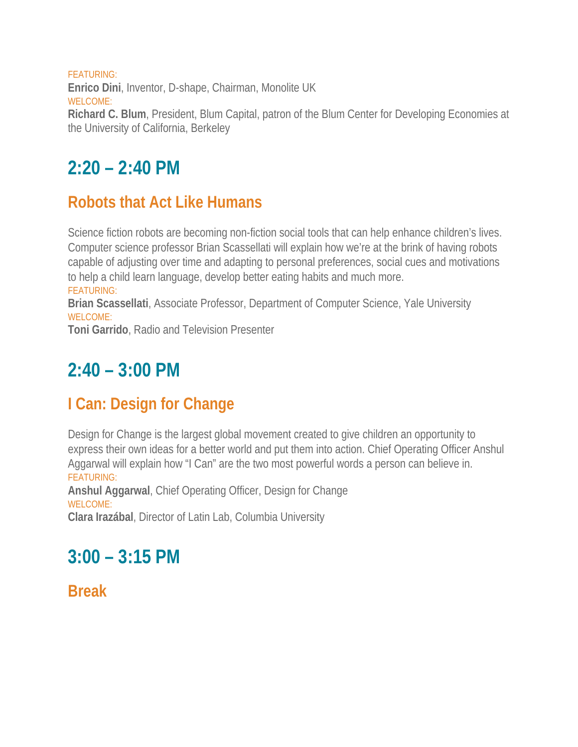FEATURING: **Enrico Dini**, Inventor, D-shape, Chairman, Monolite UK WELCOME: **Richard C. Blum**, President, Blum Capital, patron of the Blum Center for Developing Economies at the University of California, Berkeley

# $2:20 - 2:40 \text{ PM}$

#### **Robots that Act Like Humans**

Science fiction robots are becoming non-fiction social tools that can help enhance children's lives. Computer science professor Brian Scassellati will explain how we're at the brink of having robots capable of adjusting over time and adapting to personal preferences, social cues and motivations to help a child learn language, develop better eating habits and much more.

FEATURING:

**Brian Scassellati**, Associate Professor, Department of Computer Science, Yale University WELCOME:

**Toni Garrido**, Radio and Television Presenter

# **2:40 – 3:00 PM**

## **I Can: Design for Change**

Design for Change is the largest global movement created to give children an opportunity to express their own ideas for a better world and put them into action. Chief Operating Officer Anshul Aggarwal will explain how "I Can" are the two most powerful words a person can believe in. FEATURING:

**Anshul Aggarwal**, Chief Operating Officer, Design for Change WELCOME:

**Clara Irazábal**, Director of Latin Lab, Columbia University

# **3:00 – 3:15 PM**

**Break**